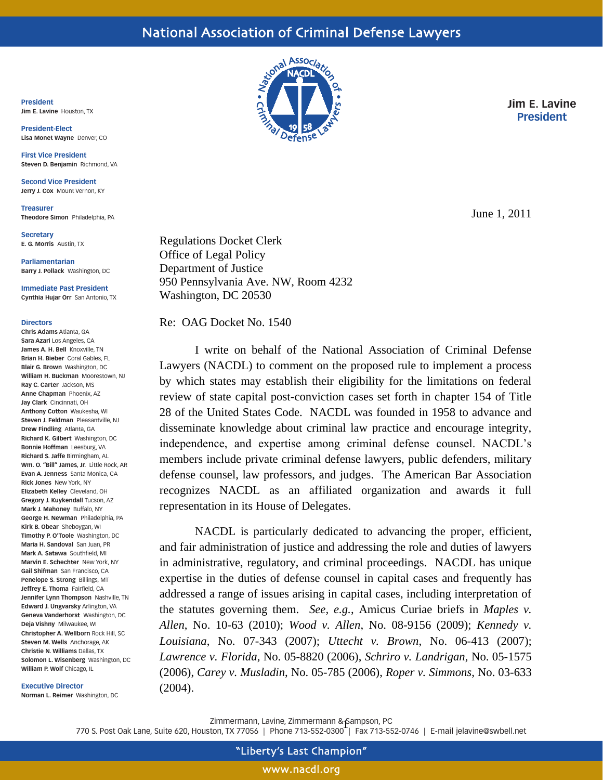**President Jim E. Lavine** Houston, TX

**President-Elect Lisa Monet Wayne** Denver, CO

**First Vice President Steven D. Benjamin** Richmond, VA

**Second Vice President Jerry J. Cox** Mount Vernon, KY

**Treasurer Theodore Simon** Philadelphia, PA

**Secretary E. G. Morris** Austin, TX

**Parliamentarian Barry J. Pollack** Washington, DC

**Immediate Past President Cynthia Hujar Orr** San Antonio, TX

## **Directors**

**Chris Adams** Atlanta, GA **Sara Azari** Los Angeles, CA **James A. H. Bell** Knoxville, TN **Brian H. Bieber** Coral Gables, FL **Blair G. Brown** Washington, DC **William H. Buckman** Moorestown, NJ **Ray C. Carter** Jackson, MS **Anne Chapman** Phoenix, AZ **Jay Clark** Cincinnati, OH **Anthony Cotton** Waukesha, WI **Steven J. Feldman** Pleasantville, NJ **Drew Findling** Atlanta, GA **Richard K. Gilbert** Washington, DC **Bonnie Hoffman** Leesburg, VA **Richard S. Jaffe** Birmingham, AL **Wm. O. "Bill" James, Jr.** Little Rock, AR **Evan A. Jenness** Santa Monica, CA **Rick Jones** New York, NY **Elizabeth Kelley** Cleveland, OH **Gregory J. Kuykendall** Tucson, AZ **Mark J. Mahoney** Buffalo, NY **George H. Newman** Philadelphia, PA **Kirk B. Obear** Sheboygan, WI **Timothy P. O'Toole** Washington, DC **Maria H. Sandoval** San Juan, PR **Mark A. Satawa** Southfield, MI **Marvin E. Schechter** New York, NY **Gail Shifman** San Francisco, CA **Penelope S. Strong** Billings, MT **Jeffrey E. Thoma** Fairfield, CA **Jennifer Lynn Thompson** Nashville, TN **Edward J. Ungvarsky** Arlington, VA **Geneva Vanderhorst** Washington, DC **Deja Vishny** Milwaukee, WI **Christopher A. Wellborn** Rock Hill, SC **Steven M. Wells** Anchorage, AK **Christie N. Williams** Dallas, TX **Solomon L. Wisenberg** Washington, DC **William P. Wolf** Chicago, IL

**Executive Director**

**Norman L. Reimer** Washington, DC



**Jim E. Lavine President**

June 1, 2011

Regulations Docket Clerk Office of Legal Policy Department of Justice 950 Pennsylvania Ave. NW, Room 4232 Washington, DC 20530

Re: OAG Docket No. 1540

I write on behalf of the National Association of Criminal Defense Lawyers (NACDL) to comment on the proposed rule to implement a process by which states may establish their eligibility for the limitations on federal review of state capital post-conviction cases set forth in chapter 154 of Title 28 of the United States Code. NACDL was founded in 1958 to advance and disseminate knowledge about criminal law practice and encourage integrity, independence, and expertise among criminal defense counsel. NACDL's members include private criminal defense lawyers, public defenders, military defense counsel, law professors, and judges. The American Bar Association recognizes NACDL as an affiliated organization and awards it full representation in its House of Delegates.

NACDL is particularly dedicated to advancing the proper, efficient, and fair administration of justice and addressing the role and duties of lawyers in administrative, regulatory, and criminal proceedings. NACDL has unique expertise in the duties of defense counsel in capital cases and frequently has addressed a range of issues arising in capital cases, including interpretation of the statutes governing them. *See, e.g.*, Amicus Curiae briefs in *Maples v. Allen*, No. 10-63 (2010); *Wood v. Allen*, No. 08-9156 (2009); *Kennedy v. Louisiana*, No. 07-343 (2007); *Uttecht v. Brown*, No. 06-413 (2007); *Lawrence v. Florida*, No. 05-8820 (2006), *Schriro v. Landrigan*, No. 05-1575 (2006), *Carey v. Musladin*, No. 05-785 (2006), *Roper v. Simmons*, No. 03-633 (2004).

Zimmermann, Lavine, Zimmermann & Sampson, PC<br>ton, TX 77054, L. Phone 712, 553,0200-L. Fox 712, 55

770 S. Post Oak Lane, Suite 620, Houston, TX 77056 | Phone 713-552-0300 | Fax 713-552-0746 | E-mail jelavine@swbell.net

www.nacdl.org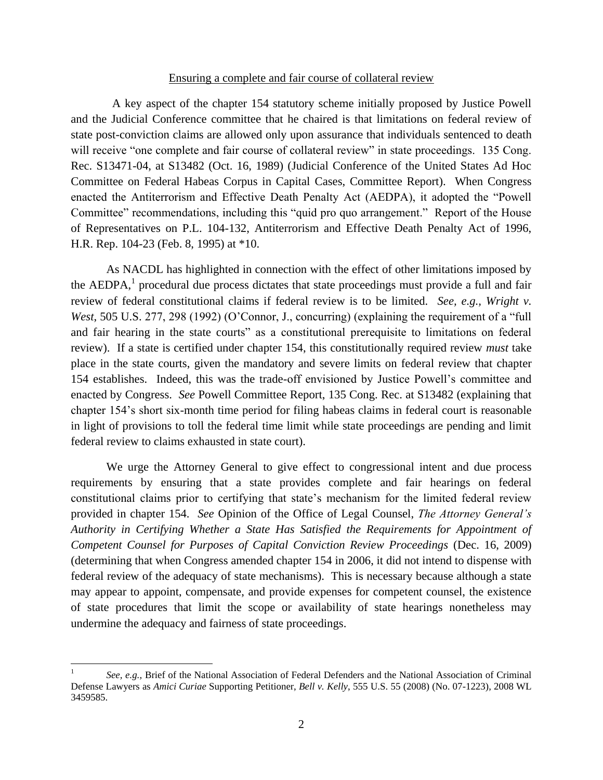## Ensuring a complete and fair course of collateral review

 A key aspect of the chapter 154 statutory scheme initially proposed by Justice Powell and the Judicial Conference committee that he chaired is that limitations on federal review of state post-conviction claims are allowed only upon assurance that individuals sentenced to death will receive "one complete and fair course of collateral review" in state proceedings. 135 Cong. Rec. S13471-04, at S13482 (Oct. 16, 1989) (Judicial Conference of the United States Ad Hoc Committee on Federal Habeas Corpus in Capital Cases, Committee Report). When Congress enacted the Antiterrorism and Effective Death Penalty Act (AEDPA), it adopted the "Powell Committee" recommendations, including this "quid pro quo arrangement." Report of the House of Representatives on P.L. 104-132, Antiterrorism and Effective Death Penalty Act of 1996, H.R. Rep. 104-23 (Feb. 8, 1995) at \*10.

As NACDL has highlighted in connection with the effect of other limitations imposed by the  $AEDPA$ ,<sup>1</sup> procedural due process dictates that state proceedings must provide a full and fair review of federal constitutional claims if federal review is to be limited. *See, e.g., Wright v. West*, 505 U.S. 277, 298 (1992) (O'Connor, J., concurring) (explaining the requirement of a "full" and fair hearing in the state courts" as a constitutional prerequisite to limitations on federal review). If a state is certified under chapter 154, this constitutionally required review *must* take place in the state courts, given the mandatory and severe limits on federal review that chapter 154 establishes. Indeed, this was the trade-off envisioned by Justice Powell's committee and enacted by Congress. *See* Powell Committee Report, 135 Cong. Rec. at S13482 (explaining that chapter 154's short six-month time period for filing habeas claims in federal court is reasonable in light of provisions to toll the federal time limit while state proceedings are pending and limit federal review to claims exhausted in state court).

We urge the Attorney General to give effect to congressional intent and due process requirements by ensuring that a state provides complete and fair hearings on federal constitutional claims prior to certifying that state's mechanism for the limited federal review provided in chapter 154. *See* Opinion of the Office of Legal Counsel, *The Attorney General's Authority in Certifying Whether a State Has Satisfied the Requirements for Appointment of Competent Counsel for Purposes of Capital Conviction Review Proceedings* (Dec. 16, 2009) (determining that when Congress amended chapter 154 in 2006, it did not intend to dispense with federal review of the adequacy of state mechanisms). This is necessary because although a state may appear to appoint, compensate, and provide expenses for competent counsel, the existence of state procedures that limit the scope or availability of state hearings nonetheless may undermine the adequacy and fairness of state proceedings.

 $\overline{a}$ 

<sup>1</sup> *See, e.g.,* Brief of the National Association of Federal Defenders and the National Association of Criminal Defense Lawyers as *Amici Curiae* Supporting Petitioner, *Bell v. Kelly*, 555 U.S. 55 (2008) (No. 07-1223), 2008 WL 3459585.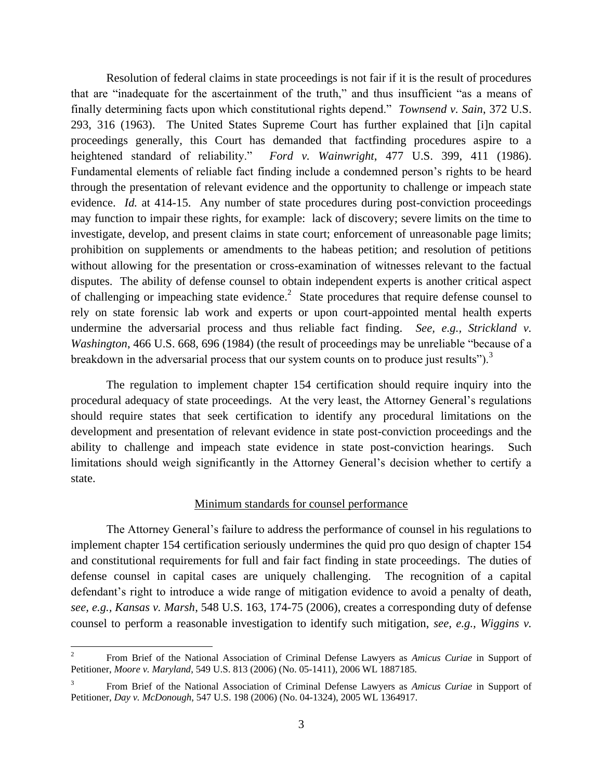Resolution of federal claims in state proceedings is not fair if it is the result of procedures that are "inadequate for the ascertainment of the truth," and thus insufficient "as a means of finally determining facts upon which constitutional rights depend." *Townsend v. Sain*, 372 U.S. 293, 316 (1963). The United States Supreme Court has further explained that [i]n capital proceedings generally, this Court has demanded that factfinding procedures aspire to a heightened standard of reliability." *Ford v. Wainwright*, 477 U.S. 399, 411 (1986). Fundamental elements of reliable fact finding include a condemned person's rights to be heard through the presentation of relevant evidence and the opportunity to challenge or impeach state evidence. *Id.* at 414-15.Any number of state procedures during post-conviction proceedings may function to impair these rights, for example: lack of discovery; severe limits on the time to investigate, develop, and present claims in state court; enforcement of unreasonable page limits; prohibition on supplements or amendments to the habeas petition; and resolution of petitions without allowing for the presentation or cross-examination of witnesses relevant to the factual disputes. The ability of defense counsel to obtain independent experts is another critical aspect of challenging or impeaching state evidence.<sup>2</sup> State procedures that require defense counsel to rely on state forensic lab work and experts or upon court-appointed mental health experts undermine the adversarial process and thus reliable fact finding. *See, e.g., Strickland v. Washington*, 466 U.S. 668, 696 (1984) (the result of proceedings may be unreliable "because of a breakdown in the adversarial process that our system counts on to produce just results").<sup>3</sup>

The regulation to implement chapter 154 certification should require inquiry into the procedural adequacy of state proceedings. At the very least, the Attorney General's regulations should require states that seek certification to identify any procedural limitations on the development and presentation of relevant evidence in state post-conviction proceedings and the ability to challenge and impeach state evidence in state post-conviction hearings. Such limitations should weigh significantly in the Attorney General's decision whether to certify a state.

## Minimum standards for counsel performance

The Attorney General's failure to address the performance of counsel in his regulations to implement chapter 154 certification seriously undermines the quid pro quo design of chapter 154 and constitutional requirements for full and fair fact finding in state proceedings. The duties of defense counsel in capital cases are uniquely challenging. The recognition of a capital defendant's right to introduce a wide range of mitigation evidence to avoid a penalty of death, *see, e.g., Kansas v. Marsh*, 548 U.S. 163, 174-75 (2006), creates a corresponding duty of defense counsel to perform a reasonable investigation to identify such mitigation, *see, e.g., Wiggins v.* 

 $\overline{a}$ 

<sup>2</sup> From Brief of the National Association of Criminal Defense Lawyers as *Amicus Curiae* in Support of Petitioner, *Moore v. Maryland*, 549 U.S. 813 (2006) (No. 05-1411), 2006 WL 1887185.

<sup>3</sup> From Brief of the National Association of Criminal Defense Lawyers as *Amicus Curiae* in Support of Petitioner, *Day v. McDonough*, 547 U.S. 198 (2006) (No. 04-1324), 2005 WL 1364917.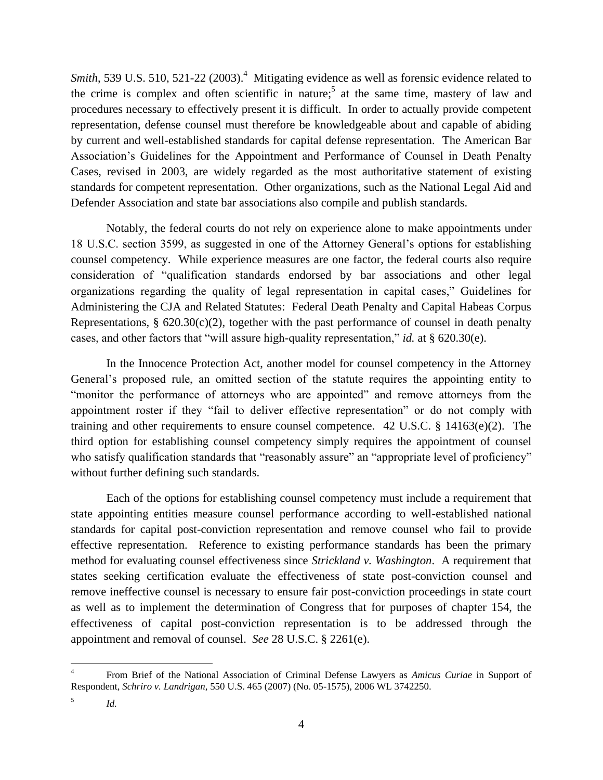Smith, 539 U.S. 510, 521-22 (2003).<sup>4</sup> Mitigating evidence as well as forensic evidence related to the crime is complex and often scientific in nature;<sup>5</sup> at the same time, mastery of law and procedures necessary to effectively present it is difficult. In order to actually provide competent representation, defense counsel must therefore be knowledgeable about and capable of abiding by current and well-established standards for capital defense representation. The American Bar Association's Guidelines for the Appointment and Performance of Counsel in Death Penalty Cases, revised in 2003, are widely regarded as the most authoritative statement of existing standards for competent representation. Other organizations, such as the National Legal Aid and Defender Association and state bar associations also compile and publish standards.

Notably, the federal courts do not rely on experience alone to make appointments under 18 U.S.C. section 3599, as suggested in one of the Attorney General's options for establishing counsel competency. While experience measures are one factor, the federal courts also require consideration of "qualification standards endorsed by bar associations and other legal organizations regarding the quality of legal representation in capital cases," Guidelines for Administering the CJA and Related Statutes: Federal Death Penalty and Capital Habeas Corpus Representations,  $\S$  620.30(c)(2), together with the past performance of counsel in death penalty cases, and other factors that "will assure high-quality representation," *id.* at § 620.30(e).

In the Innocence Protection Act, another model for counsel competency in the Attorney General's proposed rule, an omitted section of the statute requires the appointing entity to "monitor the performance of attorneys who are appointed" and remove attorneys from the appointment roster if they "fail to deliver effective representation" or do not comply with training and other requirements to ensure counsel competence. 42 U.S.C. § 14163(e)(2). The third option for establishing counsel competency simply requires the appointment of counsel who satisfy qualification standards that "reasonably assure" an "appropriate level of proficiency" without further defining such standards.

Each of the options for establishing counsel competency must include a requirement that state appointing entities measure counsel performance according to well-established national standards for capital post-conviction representation and remove counsel who fail to provide effective representation. Reference to existing performance standards has been the primary method for evaluating counsel effectiveness since *Strickland v. Washington*. A requirement that states seeking certification evaluate the effectiveness of state post-conviction counsel and remove ineffective counsel is necessary to ensure fair post-conviction proceedings in state court as well as to implement the determination of Congress that for purposes of chapter 154, the effectiveness of capital post-conviction representation is to be addressed through the appointment and removal of counsel. *See* 28 U.S.C. § 2261(e).

 $\overline{a}$ 4 From Brief of the National Association of Criminal Defense Lawyers as *Amicus Curiae* in Support of Respondent, *Schriro v. Landrigan*, 550 U.S. 465 (2007) (No. 05-1575), 2006 WL 3742250.

<sup>5</sup> *Id.*